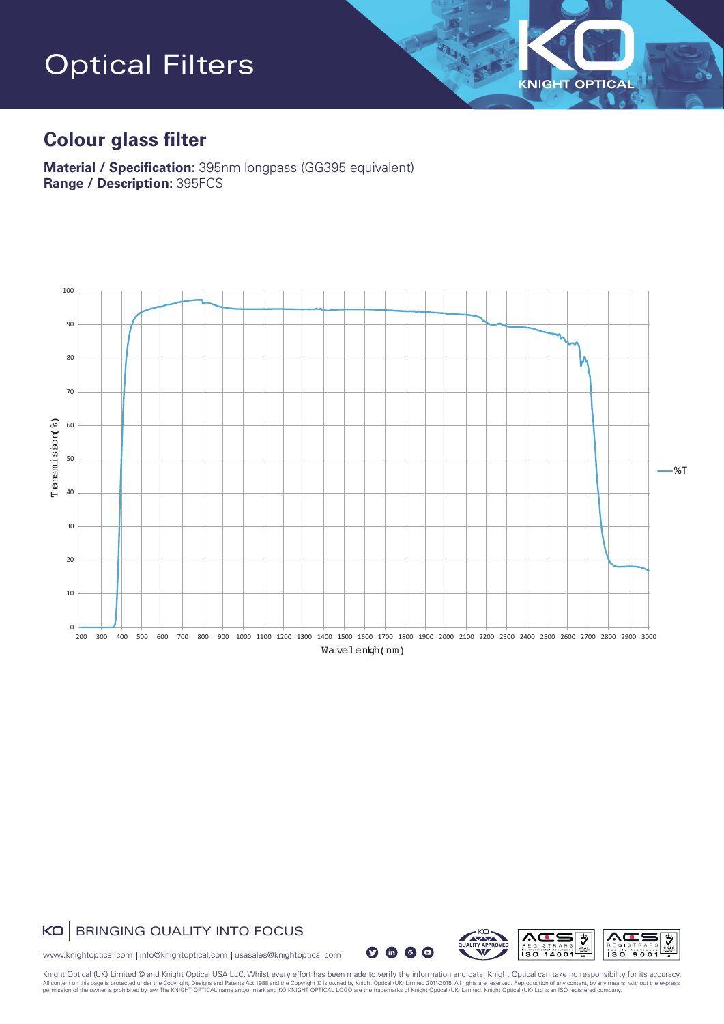# Optical Filters

### **Colour glass filter**

**Material / Specification:** 395nm longpass (GG395 equivalent) **Range / Description:** 395FCS



#### KO | BRINGING QUALITY INTO FOCUS

 $O$   $\oplus$   $O$ 



 $\overline{\mathbf{v}}$ 

**KNIGHT OPTICAL** 

www.knightoptical.com | info@knightoptical.com | usasales@knightoptical.com

Knight Optical (UK) Limited © and Knight Optical USA LLC. Whilst every effort has been made to verify the information and data, Knight Optical can take no responsibility for its accuracy.<br>All content on this age is proted